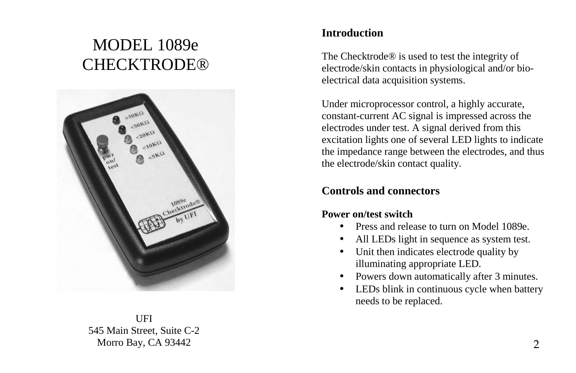# MODEL 1089e CHECKTRODE®



UFI 545 Main Street, Suite C-2 Morro Bay, CA 93442

## **Introduction**

The Checktrode® is used to test the integrity of electrode/skin contacts in physiological and/or bioelectrical data acquisition systems.

Under microprocessor control, a highly accurate, constant-current AC signal is impressed across the electrodes under test. A signal derived from this excitation lights one of several LED lights to indicate the impedance range between the electrodes, and thus the electrode/skin contact quality.

## **Controls and connectors**

### **Power on/test switch**

- •Press and release to turn on Model 1089e.
- •All LEDs light in sequence as system test.
- • Unit then indicates electrode quality by illuminating appropriate LED.
- •Powers down automatically after 3 minutes.
- • LEDs blink in continuous cycle when battery needs to be replaced.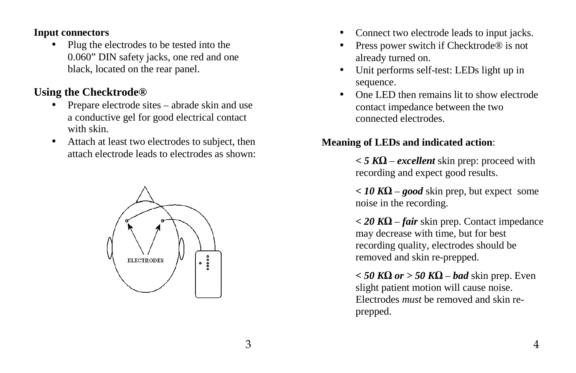#### **Input connectors**

• Plug the electrodes to be tested into the 0.060" DIN safety jacks, one red and one black, located on the rear panel.

# **Using the Checktrode®**

- • Prepare electrode sites – abrade skin and use a conductive gel for good electrical contact with skin.
- • Attach at least two electrodes to subject, then attach electrode leads to electrodes as shown:



- •Connect two electrode leads to input jacks.
- • Press power switch if Checktrode® is not already turned on.
- Unit performs self-test: LEDs light up in •sequence.
- One LED then remains lit to show electrode •contact impedance between the two connected electrodes.

## **Meaning of LEDs and indicated action**:

*< 5 K*Ω – *excellent* skin prep: proceed with recording and expect good results.

*< 10 K*Ω – *good* skin prep, but expect some noise in the recording.

*< 20 K*Ω – *fair* skin prep. Contact impedance may decrease with time, but for best recording quality, electrodes should be removed and skin re-prepped.

*< 50 K*Ω *or > 50 K*Ω – *bad* skin prep. Even slight patient motion will cause noise. Electrodes *must* be removed and skin reprepped.